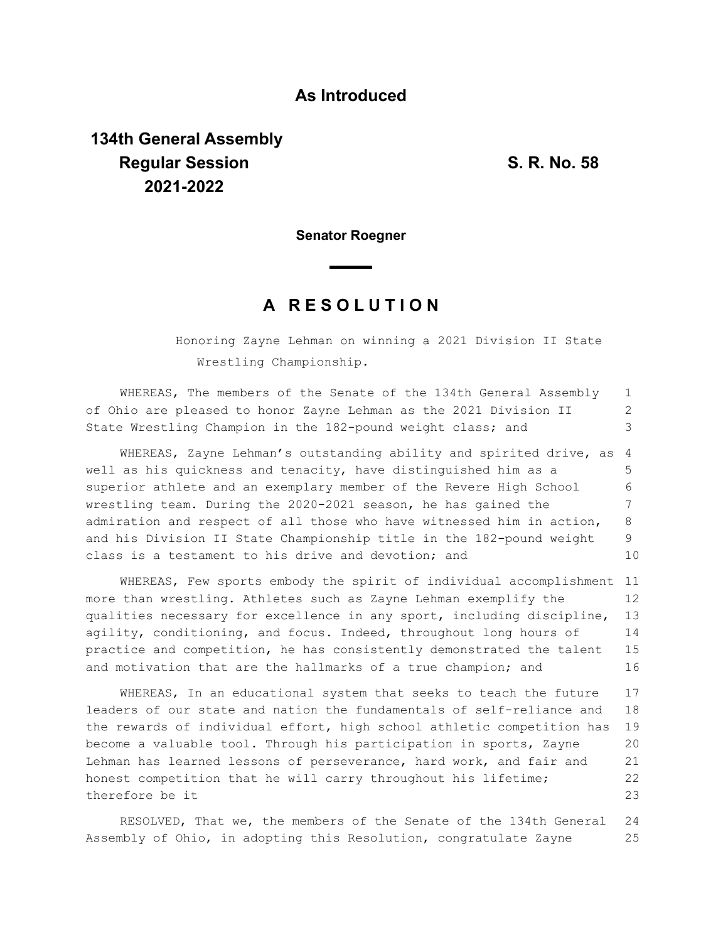## **As Introduced**

## **134th General Assembly Regular Session S. R. No. 58 2021-2022**

**Senator Roegner**

## **A R E S O L U T I O N**

Honoring Zayne Lehman on winning a 2021 Division II State Wrestling Championship.

WHEREAS, The members of the Senate of the 134th General Assembly of Ohio are pleased to honor Zayne Lehman as the 2021 Division II State Wrestling Champion in the 182-pound weight class; and 1 2 3

WHEREAS, Zayne Lehman's outstanding ability and spirited drive, as well as his quickness and tenacity, have distinguished him as a superior athlete and an exemplary member of the Revere High School wrestling team. During the 2020-2021 season, he has gained the admiration and respect of all those who have witnessed him in action, and his Division II State Championship title in the 182-pound weight class is a testament to his drive and devotion; and 4 5 6 7 8 9 10

WHEREAS, Few sports embody the spirit of individual accomplishment 11 more than wrestling. Athletes such as Zayne Lehman exemplify the qualities necessary for excellence in any sport, including discipline, agility, conditioning, and focus. Indeed, throughout long hours of practice and competition, he has consistently demonstrated the talent and motivation that are the hallmarks of a true champion; and 12 13 14 15 16

WHEREAS, In an educational system that seeks to teach the future leaders of our state and nation the fundamentals of self-reliance and the rewards of individual effort, high school athletic competition has become a valuable tool. Through his participation in sports, Zayne Lehman has learned lessons of perseverance, hard work, and fair and honest competition that he will carry throughout his lifetime; therefore be it 17 18 19 20 21 22 23

RESOLVED, That we, the members of the Senate of the 134th General Assembly of Ohio, in adopting this Resolution, congratulate Zayne 24 25